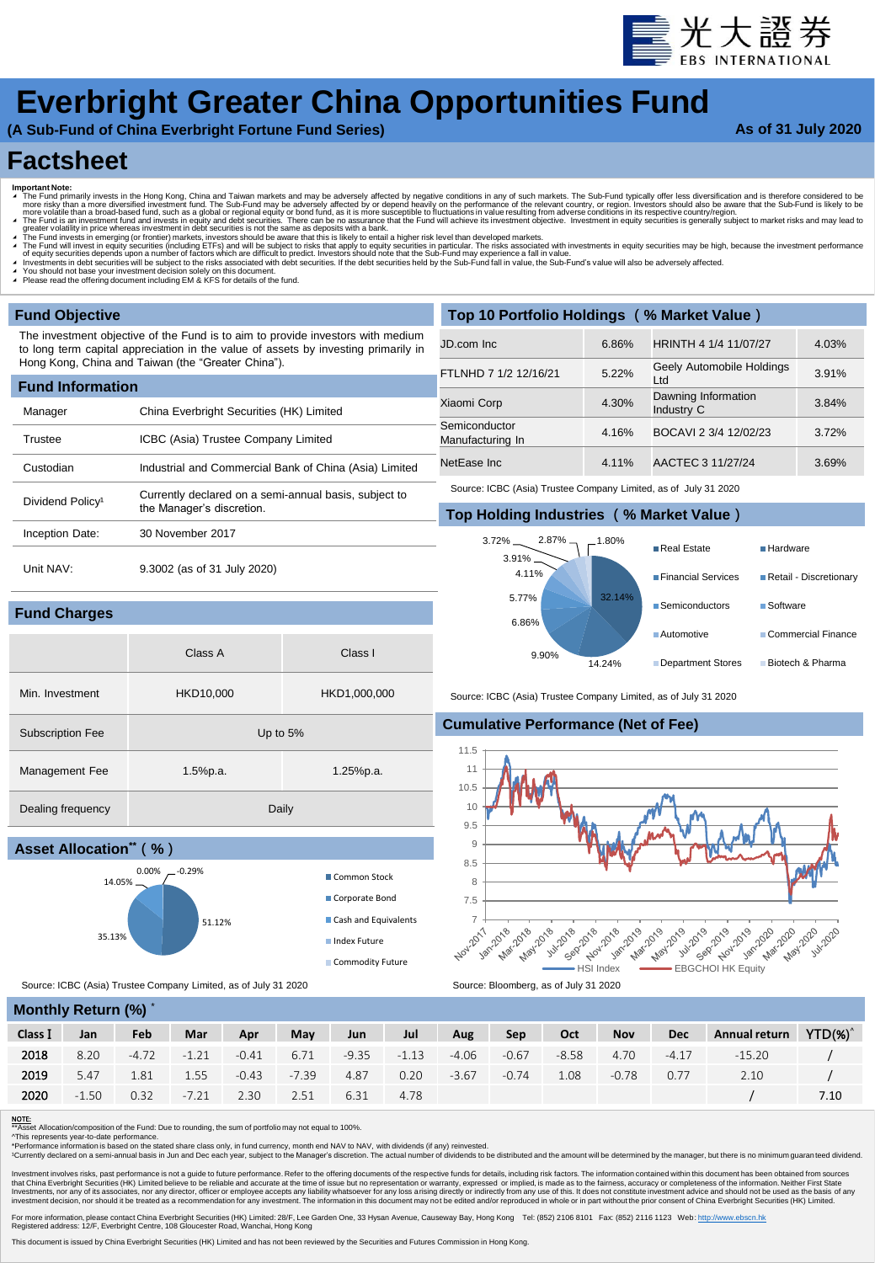

# **Everbright Greater China Opportunities Fund**

**(A Sub-Fund of China Everbright Fortune Fund Series)**

### **As of 31 July 2020**

## **Factsheet**

- 
- Important Note:<br>
The Fund primarily invests in the Hong Kong, China and Taiwan markets and may be adversely affected by negative conditions in any of such markets. The Sub-Fund typically offer less diversification and i
- 

Class A Class I

- 
- 
- ◢ You should not base your investment decision solely on this document. ◢ Please read the offering document including EM & KFS for details of the fund.

### **Fund Objective**

**Fund Charges**

The investment objective of the Fund is to aim to provide investors with medium to long term capital appreciation in the value of assets by investing primarily in Hong Kong, China and Taiwan (the "Greater China").

| <b>Fund Information</b>      |                                                                                    |  |  |  |  |  |  |  |  |  |
|------------------------------|------------------------------------------------------------------------------------|--|--|--|--|--|--|--|--|--|
| Manager                      | China Everbright Securities (HK) Limited                                           |  |  |  |  |  |  |  |  |  |
| Trustee                      | ICBC (Asia) Trustee Company Limited                                                |  |  |  |  |  |  |  |  |  |
| Custodian                    | Industrial and Commercial Bank of China (Asia) Limited                             |  |  |  |  |  |  |  |  |  |
| Dividend Policy <sup>1</sup> | Currently declared on a semi-annual basis, subject to<br>the Manager's discretion. |  |  |  |  |  |  |  |  |  |
| Inception Date:              | 30 November 2017                                                                   |  |  |  |  |  |  |  |  |  |
| Unit NAV:                    | 9.3002 (as of 31 July 2020)                                                        |  |  |  |  |  |  |  |  |  |

Min. Investment HKD10,000 HKD1,000,000

Management Fee 1.5%p.a. 1.5%p.a. 1.25%p.a.

51.12%

 $0.00\%$   $-0.29\%$  Common Stock

| Top 10 Portfolio Holdings (% Market Value) |       |                                   |       |  |  |  |  |  |  |  |  |
|--------------------------------------------|-------|-----------------------------------|-------|--|--|--|--|--|--|--|--|
| JD.com Inc.                                | 6.86% | HRINTH 4 1/4 11/07/27             | 4.03% |  |  |  |  |  |  |  |  |
| FTLNHD 7 1/2 12/16/21                      | 5.22% | Geely Automobile Holdings<br>Ltd  | 3.91% |  |  |  |  |  |  |  |  |
| Xiaomi Corp                                | 4.30% | Dawning Information<br>Industry C | 3.84% |  |  |  |  |  |  |  |  |
| Semiconductor<br>Manufacturing In          | 4.16% | BOCAVI 2 3/4 12/02/23             | 3.72% |  |  |  |  |  |  |  |  |
| NetEase Inc                                | 4.11% | AACTEC 3 11/27/24                 | 3.69% |  |  |  |  |  |  |  |  |

Source: ICBC (Asia) Trustee Company Limited, as of July 31 2020

### **Top Holding Industries** (**% Market Value**)



Source: ICBC (Asia) Trustee Company Limited, as of July 31 2020

### **Cumulative Performance (Net of Fee)**



Source: ICBC (Asia) Trustee Company Limited, as of July 31 2020

Subscription Fee Up to 5%

Dealing frequency Daily

| <b>MONTHLY RETURN (70)</b> |         |            |         |         |         |         |         |         |         |         |            |            |               |            |
|----------------------------|---------|------------|---------|---------|---------|---------|---------|---------|---------|---------|------------|------------|---------------|------------|
| Class I                    | Jan     | <b>Feb</b> | Mar     | Apr     | May     | Jun     | Jul     | Aug     | Sep     | Oct     | <b>Nov</b> | <b>Dec</b> | Annual return | $YTD(\%)'$ |
| 2018                       | 8.20    | $-4.72$    | $-1.21$ | $-0.41$ | 6.71    | $-9.35$ | $-1.13$ | $-4.06$ | $-0.67$ | $-8.58$ | 4.70       | $-4.17$    | $-15.20$      |            |
| 2019                       | 5.47    | 1.81       | 1.55    | $-0.43$ | $-7.39$ | 4.87    | 0.20    | $-3.67$ | $-0.74$ | 1.08    | $-0.78$    | 0.77       | 2.10          |            |
| 2020                       | $-1.50$ | 0.32       | $-7.21$ | 2.30    | 2.51    | 6.31    | 4.78    |         |         |         |            |            |               | 7.10       |

**NOTE:**<br>\*\*Asset Allocation/composition of the Fund: Due to rounding, the sum of portfolio may not equal to 100%.<br>^This represents year-to-date performance.

**Monthly Return (%)** \*

**Asset Allocation\*\***(**%**)

35.13%

14.05%

\* Asset militation information in the timut. Due to rounding, the sum of portromance ynot equation to you.<br>\*This represents year-to-date performance.<br>\*Performance information is based on the stated share class only, in fun

\*Currently declared on a semi-annual basis in Jun and Dec each year, subject to the Manager's discretion. The actual number of dividends to be distributed and the amount will be determined by the manager, but there is no m

Investment involves risks, past performance is not a guide to future performance. Refer to the offering documents of the respective funds for details, including risk factors. The information contained within this document

For more information, please contact China Everbright Securities (HK) Limited: 28/F, Lee Garden One, 33 Hysan Avenue, Causeway Bay, Hong Kong Tel: (852) 2106 8101 Fax: (852) 2116 1123 Web: [http://www.ebscn.hk](http://www.ebscn.hk/)<br>Registered

Corporate Bond Cash and Equivalents Index Future Commodity Future

This document is issued by China Everbright Securities (HK) Limited and has not been reviewed by the Securities and Futures Commission in Hong Kong.